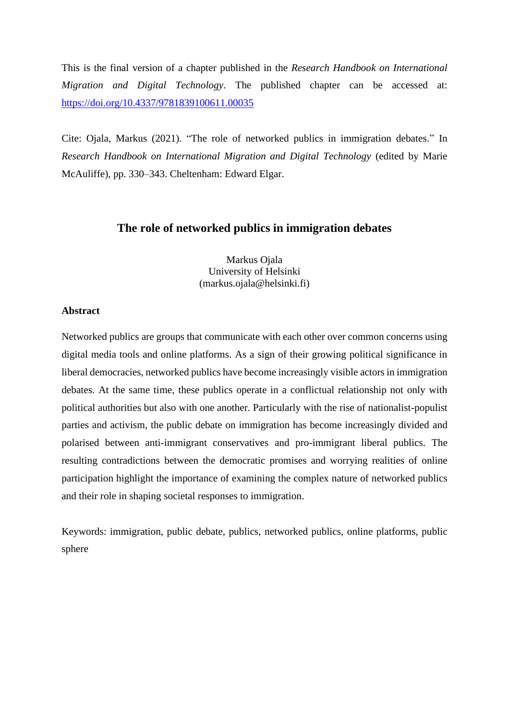This is the final version of a chapter published in the *Research Handbook on International Migration and Digital Technology*. The published chapter can be accessed at: <https://doi.org/10.4337/9781839100611.00035>

Cite: Ojala, Markus (2021). "The role of networked publics in immigration debates." In *Research Handbook on International Migration and Digital Technology* (edited by Marie McAuliffe), pp. 330–343. Cheltenham: Edward Elgar.

# **The role of networked publics in immigration debates**

Markus Ojala University of Helsinki (markus.ojala@helsinki.fi)

# **Abstract**

Networked publics are groups that communicate with each other over common concerns using digital media tools and online platforms. As a sign of their growing political significance in liberal democracies, networked publics have become increasingly visible actors in immigration debates. At the same time, these publics operate in a conflictual relationship not only with political authorities but also with one another. Particularly with the rise of nationalist-populist parties and activism, the public debate on immigration has become increasingly divided and polarised between anti-immigrant conservatives and pro-immigrant liberal publics. The resulting contradictions between the democratic promises and worrying realities of online participation highlight the importance of examining the complex nature of networked publics and their role in shaping societal responses to immigration.

Keywords: immigration, public debate, publics, networked publics, online platforms, public sphere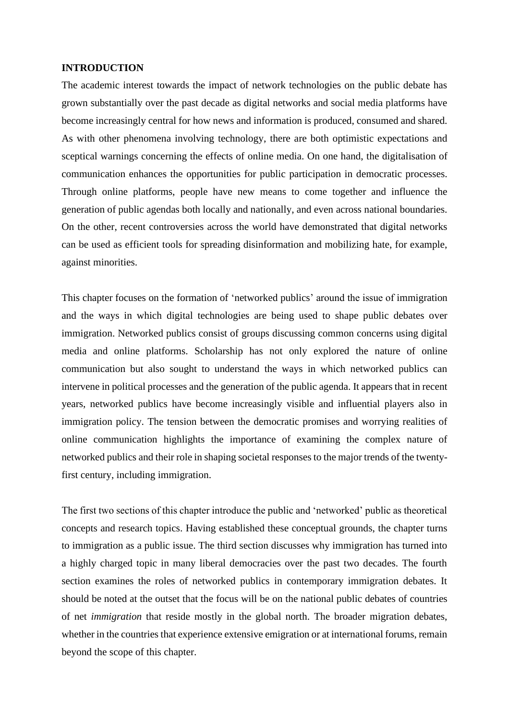### **INTRODUCTION**

The academic interest towards the impact of network technologies on the public debate has grown substantially over the past decade as digital networks and social media platforms have become increasingly central for how news and information is produced, consumed and shared. As with other phenomena involving technology, there are both optimistic expectations and sceptical warnings concerning the effects of online media. On one hand, the digitalisation of communication enhances the opportunities for public participation in democratic processes. Through online platforms, people have new means to come together and influence the generation of public agendas both locally and nationally, and even across national boundaries. On the other, recent controversies across the world have demonstrated that digital networks can be used as efficient tools for spreading disinformation and mobilizing hate, for example, against minorities.

This chapter focuses on the formation of 'networked publics' around the issue of immigration and the ways in which digital technologies are being used to shape public debates over immigration. Networked publics consist of groups discussing common concerns using digital media and online platforms. Scholarship has not only explored the nature of online communication but also sought to understand the ways in which networked publics can intervene in political processes and the generation of the public agenda. It appears that in recent years, networked publics have become increasingly visible and influential players also in immigration policy. The tension between the democratic promises and worrying realities of online communication highlights the importance of examining the complex nature of networked publics and their role in shaping societal responses to the major trends of the twentyfirst century, including immigration.

The first two sections of this chapter introduce the public and 'networked' public as theoretical concepts and research topics. Having established these conceptual grounds, the chapter turns to immigration as a public issue. The third section discusses why immigration has turned into a highly charged topic in many liberal democracies over the past two decades. The fourth section examines the roles of networked publics in contemporary immigration debates. It should be noted at the outset that the focus will be on the national public debates of countries of net *immigration* that reside mostly in the global north. The broader migration debates, whether in the countries that experience extensive emigration or at international forums, remain beyond the scope of this chapter.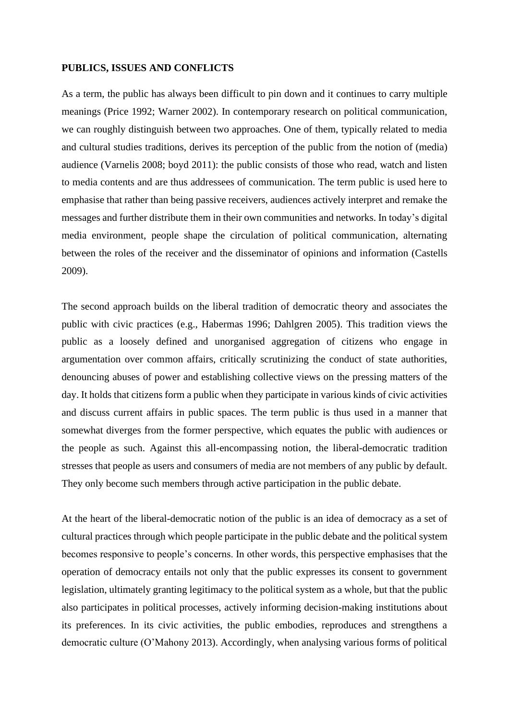#### **PUBLICS, ISSUES AND CONFLICTS**

As a term, the public has always been difficult to pin down and it continues to carry multiple meanings (Price 1992; Warner 2002). In contemporary research on political communication, we can roughly distinguish between two approaches. One of them, typically related to media and cultural studies traditions, derives its perception of the public from the notion of (media) audience (Varnelis 2008; boyd 2011): the public consists of those who read, watch and listen to media contents and are thus addressees of communication. The term public is used here to emphasise that rather than being passive receivers, audiences actively interpret and remake the messages and further distribute them in their own communities and networks. In today's digital media environment, people shape the circulation of political communication, alternating between the roles of the receiver and the disseminator of opinions and information (Castells 2009).

The second approach builds on the liberal tradition of democratic theory and associates the public with civic practices (e.g., Habermas 1996; Dahlgren 2005). This tradition views the public as a loosely defined and unorganised aggregation of citizens who engage in argumentation over common affairs, critically scrutinizing the conduct of state authorities, denouncing abuses of power and establishing collective views on the pressing matters of the day. It holds that citizens form a public when they participate in various kinds of civic activities and discuss current affairs in public spaces. The term public is thus used in a manner that somewhat diverges from the former perspective, which equates the public with audiences or the people as such. Against this all-encompassing notion, the liberal-democratic tradition stresses that people as users and consumers of media are not members of any public by default. They only become such members through active participation in the public debate.

At the heart of the liberal-democratic notion of the public is an idea of democracy as a set of cultural practices through which people participate in the public debate and the political system becomes responsive to people's concerns. In other words, this perspective emphasises that the operation of democracy entails not only that the public expresses its consent to government legislation, ultimately granting legitimacy to the political system as a whole, but that the public also participates in political processes, actively informing decision-making institutions about its preferences. In its civic activities, the public embodies, reproduces and strengthens a democratic culture (O'Mahony 2013). Accordingly, when analysing various forms of political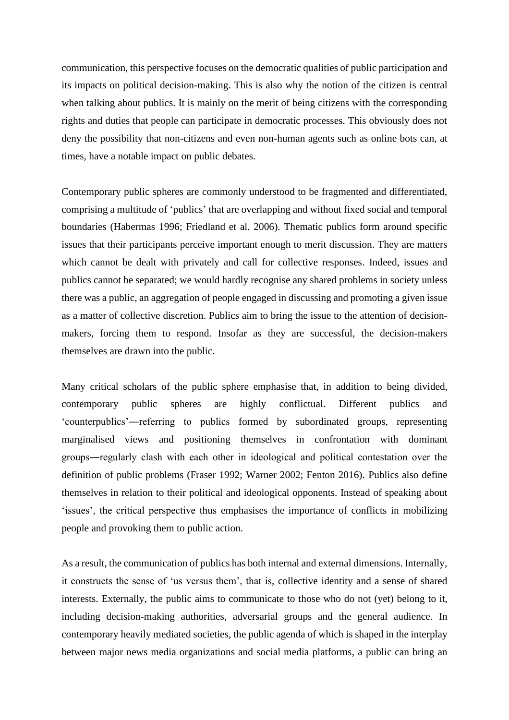communication, this perspective focuses on the democratic qualities of public participation and its impacts on political decision-making. This is also why the notion of the citizen is central when talking about publics. It is mainly on the merit of being citizens with the corresponding rights and duties that people can participate in democratic processes. This obviously does not deny the possibility that non-citizens and even non-human agents such as online bots can, at times, have a notable impact on public debates.

Contemporary public spheres are commonly understood to be fragmented and differentiated, comprising a multitude of 'publics' that are overlapping and without fixed social and temporal boundaries (Habermas 1996; Friedland et al. 2006). Thematic publics form around specific issues that their participants perceive important enough to merit discussion. They are matters which cannot be dealt with privately and call for collective responses. Indeed, issues and publics cannot be separated; we would hardly recognise any shared problems in society unless there was a public, an aggregation of people engaged in discussing and promoting a given issue as a matter of collective discretion. Publics aim to bring the issue to the attention of decisionmakers, forcing them to respond. Insofar as they are successful, the decision-makers themselves are drawn into the public.

Many critical scholars of the public sphere emphasise that, in addition to being divided, contemporary public spheres are highly conflictual. Different publics and 'counterpublics'―referring to publics formed by subordinated groups, representing marginalised views and positioning themselves in confrontation with dominant groups―regularly clash with each other in ideological and political contestation over the definition of public problems (Fraser 1992; Warner 2002; Fenton 2016). Publics also define themselves in relation to their political and ideological opponents. Instead of speaking about 'issues', the critical perspective thus emphasises the importance of conflicts in mobilizing people and provoking them to public action.

As a result, the communication of publics has both internal and external dimensions. Internally, it constructs the sense of 'us versus them', that is, collective identity and a sense of shared interests. Externally, the public aims to communicate to those who do not (yet) belong to it, including decision-making authorities, adversarial groups and the general audience. In contemporary heavily mediated societies, the public agenda of which is shaped in the interplay between major news media organizations and social media platforms, a public can bring an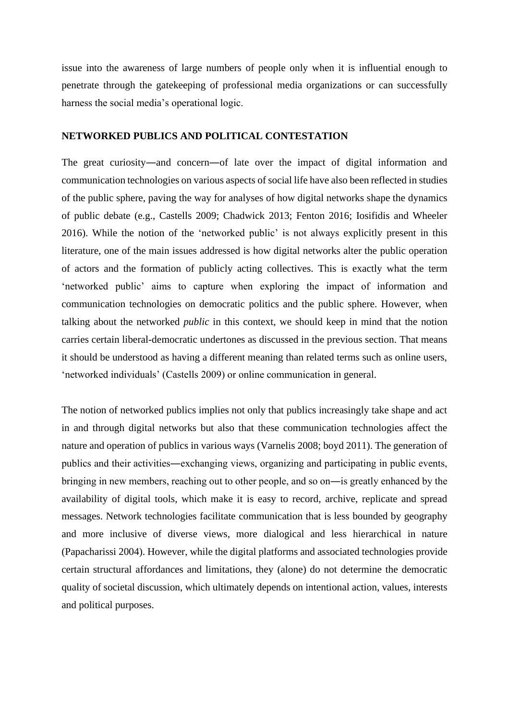issue into the awareness of large numbers of people only when it is influential enough to penetrate through the gatekeeping of professional media organizations or can successfully harness the social media's operational logic.

# **NETWORKED PUBLICS AND POLITICAL CONTESTATION**

The great curiosity—and concern—of late over the impact of digital information and communication technologies on various aspects of social life have also been reflected in studies of the public sphere, paving the way for analyses of how digital networks shape the dynamics of public debate (e.g., Castells 2009; Chadwick 2013; Fenton 2016; Iosifidis and Wheeler 2016). While the notion of the 'networked public' is not always explicitly present in this literature, one of the main issues addressed is how digital networks alter the public operation of actors and the formation of publicly acting collectives. This is exactly what the term 'networked public' aims to capture when exploring the impact of information and communication technologies on democratic politics and the public sphere. However, when talking about the networked *public* in this context, we should keep in mind that the notion carries certain liberal-democratic undertones as discussed in the previous section. That means it should be understood as having a different meaning than related terms such as online users, 'networked individuals' (Castells 2009) or online communication in general.

The notion of networked publics implies not only that publics increasingly take shape and act in and through digital networks but also that these communication technologies affect the nature and operation of publics in various ways (Varnelis 2008; boyd 2011). The generation of publics and their activities―exchanging views, organizing and participating in public events, bringing in new members, reaching out to other people, and so on―is greatly enhanced by the availability of digital tools, which make it is easy to record, archive, replicate and spread messages. Network technologies facilitate communication that is less bounded by geography and more inclusive of diverse views, more dialogical and less hierarchical in nature (Papacharissi 2004). However, while the digital platforms and associated technologies provide certain structural affordances and limitations, they (alone) do not determine the democratic quality of societal discussion, which ultimately depends on intentional action, values, interests and political purposes.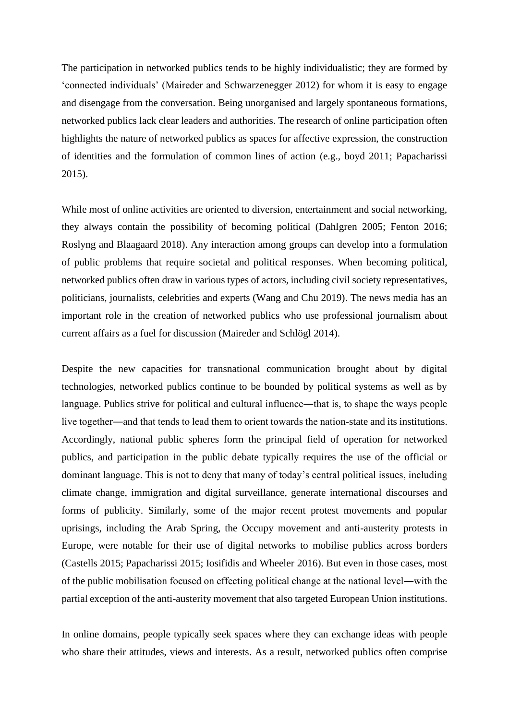The participation in networked publics tends to be highly individualistic; they are formed by 'connected individuals' (Maireder and Schwarzenegger 2012) for whom it is easy to engage and disengage from the conversation. Being unorganised and largely spontaneous formations, networked publics lack clear leaders and authorities. The research of online participation often highlights the nature of networked publics as spaces for affective expression, the construction of identities and the formulation of common lines of action (e.g., boyd 2011; Papacharissi 2015).

While most of online activities are oriented to diversion, entertainment and social networking, they always contain the possibility of becoming political (Dahlgren 2005; Fenton 2016; Roslyng and Blaagaard 2018). Any interaction among groups can develop into a formulation of public problems that require societal and political responses. When becoming political, networked publics often draw in various types of actors, including civil society representatives, politicians, journalists, celebrities and experts (Wang and Chu 2019). The news media has an important role in the creation of networked publics who use professional journalism about current affairs as a fuel for discussion (Maireder and Schlögl 2014).

Despite the new capacities for transnational communication brought about by digital technologies, networked publics continue to be bounded by political systems as well as by language. Publics strive for political and cultural influence―that is, to shape the ways people live together—and that tends to lead them to orient towards the nation-state and its institutions. Accordingly, national public spheres form the principal field of operation for networked publics, and participation in the public debate typically requires the use of the official or dominant language. This is not to deny that many of today's central political issues, including climate change, immigration and digital surveillance, generate international discourses and forms of publicity. Similarly, some of the major recent protest movements and popular uprisings, including the Arab Spring, the Occupy movement and anti-austerity protests in Europe, were notable for their use of digital networks to mobilise publics across borders (Castells 2015; Papacharissi 2015; Iosifidis and Wheeler 2016). But even in those cases, most of the public mobilisation focused on effecting political change at the national level―with the partial exception of the anti-austerity movement that also targeted European Union institutions.

In online domains, people typically seek spaces where they can exchange ideas with people who share their attitudes, views and interests. As a result, networked publics often comprise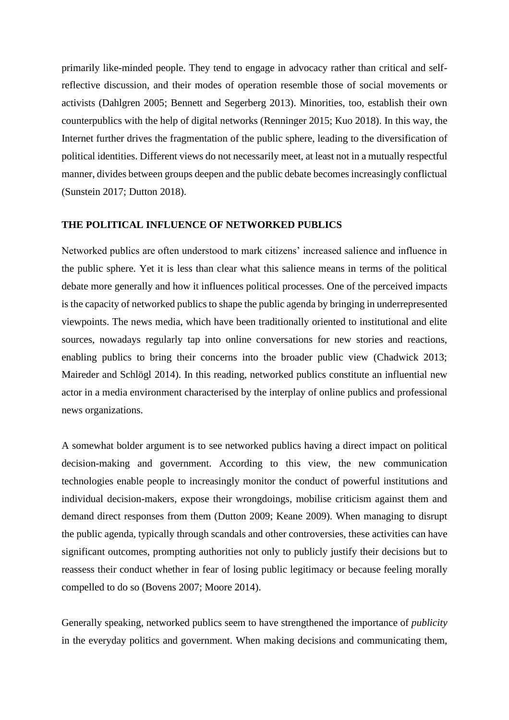primarily like-minded people. They tend to engage in advocacy rather than critical and selfreflective discussion, and their modes of operation resemble those of social movements or activists (Dahlgren 2005; Bennett and Segerberg 2013). Minorities, too, establish their own counterpublics with the help of digital networks (Renninger 2015; Kuo 2018). In this way, the Internet further drives the fragmentation of the public sphere, leading to the diversification of political identities. Different views do not necessarily meet, at least not in a mutually respectful manner, divides between groups deepen and the public debate becomes increasingly conflictual (Sunstein 2017; Dutton 2018).

# **THE POLITICAL INFLUENCE OF NETWORKED PUBLICS**

Networked publics are often understood to mark citizens' increased salience and influence in the public sphere. Yet it is less than clear what this salience means in terms of the political debate more generally and how it influences political processes. One of the perceived impacts is the capacity of networked publics to shape the public agenda by bringing in underrepresented viewpoints. The news media, which have been traditionally oriented to institutional and elite sources, nowadays regularly tap into online conversations for new stories and reactions, enabling publics to bring their concerns into the broader public view (Chadwick 2013; Maireder and Schlögl 2014). In this reading, networked publics constitute an influential new actor in a media environment characterised by the interplay of online publics and professional news organizations.

A somewhat bolder argument is to see networked publics having a direct impact on political decision-making and government. According to this view, the new communication technologies enable people to increasingly monitor the conduct of powerful institutions and individual decision-makers, expose their wrongdoings, mobilise criticism against them and demand direct responses from them (Dutton 2009; Keane 2009). When managing to disrupt the public agenda, typically through scandals and other controversies, these activities can have significant outcomes, prompting authorities not only to publicly justify their decisions but to reassess their conduct whether in fear of losing public legitimacy or because feeling morally compelled to do so (Bovens 2007; Moore 2014).

Generally speaking, networked publics seem to have strengthened the importance of *publicity* in the everyday politics and government. When making decisions and communicating them,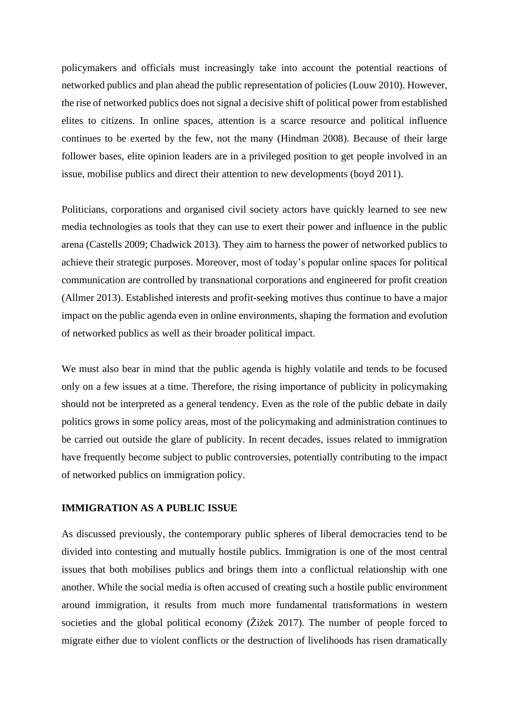policymakers and officials must increasingly take into account the potential reactions of networked publics and plan ahead the public representation of policies (Louw 2010). However, the rise of networked publics does not signal a decisive shift of political power from established elites to citizens. In online spaces, attention is a scarce resource and political influence continues to be exerted by the few, not the many (Hindman 2008). Because of their large follower bases, elite opinion leaders are in a privileged position to get people involved in an issue, mobilise publics and direct their attention to new developments (boyd 2011).

Politicians, corporations and organised civil society actors have quickly learned to see new media technologies as tools that they can use to exert their power and influence in the public arena (Castells 2009; Chadwick 2013). They aim to harness the power of networked publics to achieve their strategic purposes. Moreover, most of today's popular online spaces for political communication are controlled by transnational corporations and engineered for profit creation (Allmer 2013). Established interests and profit-seeking motives thus continue to have a major impact on the public agenda even in online environments, shaping the formation and evolution of networked publics as well as their broader political impact.

We must also bear in mind that the public agenda is highly volatile and tends to be focused only on a few issues at a time. Therefore, the rising importance of publicity in policymaking should not be interpreted as a general tendency. Even as the role of the public debate in daily politics grows in some policy areas, most of the policymaking and administration continues to be carried out outside the glare of publicity. In recent decades, issues related to immigration have frequently become subject to public controversies, potentially contributing to the impact of networked publics on immigration policy.

### **IMMIGRATION AS A PUBLIC ISSUE**

As discussed previously, the contemporary public spheres of liberal democracies tend to be divided into contesting and mutually hostile publics. Immigration is one of the most central issues that both mobilises publics and brings them into a conflictual relationship with one another. While the social media is often accused of creating such a hostile public environment around immigration, it results from much more fundamental transformations in western societies and the global political economy (Žižek 2017). The number of people forced to migrate either due to violent conflicts or the destruction of livelihoods has risen dramatically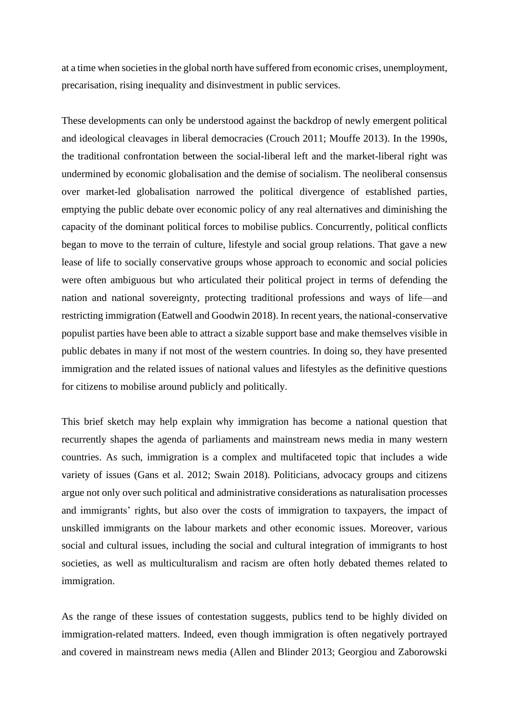at a time when societies in the global north have suffered from economic crises, unemployment, precarisation, rising inequality and disinvestment in public services.

These developments can only be understood against the backdrop of newly emergent political and ideological cleavages in liberal democracies (Crouch 2011; Mouffe 2013). In the 1990s, the traditional confrontation between the social-liberal left and the market-liberal right was undermined by economic globalisation and the demise of socialism. The neoliberal consensus over market-led globalisation narrowed the political divergence of established parties, emptying the public debate over economic policy of any real alternatives and diminishing the capacity of the dominant political forces to mobilise publics. Concurrently, political conflicts began to move to the terrain of culture, lifestyle and social group relations. That gave a new lease of life to socially conservative groups whose approach to economic and social policies were often ambiguous but who articulated their political project in terms of defending the nation and national sovereignty, protecting traditional professions and ways of life—and restricting immigration (Eatwell and Goodwin 2018). In recent years, the national-conservative populist parties have been able to attract a sizable support base and make themselves visible in public debates in many if not most of the western countries. In doing so, they have presented immigration and the related issues of national values and lifestyles as the definitive questions for citizens to mobilise around publicly and politically.

This brief sketch may help explain why immigration has become a national question that recurrently shapes the agenda of parliaments and mainstream news media in many western countries. As such, immigration is a complex and multifaceted topic that includes a wide variety of issues (Gans et al. 2012; Swain 2018). Politicians, advocacy groups and citizens argue not only over such political and administrative considerations as naturalisation processes and immigrants' rights, but also over the costs of immigration to taxpayers, the impact of unskilled immigrants on the labour markets and other economic issues. Moreover, various social and cultural issues, including the social and cultural integration of immigrants to host societies, as well as multiculturalism and racism are often hotly debated themes related to immigration.

As the range of these issues of contestation suggests, publics tend to be highly divided on immigration-related matters. Indeed, even though immigration is often negatively portrayed and covered in mainstream news media (Allen and Blinder 2013; Georgiou and Zaborowski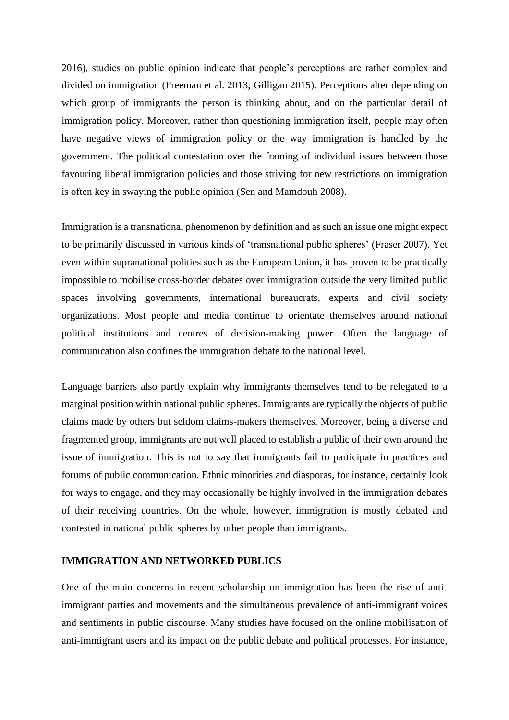2016), studies on public opinion indicate that people's perceptions are rather complex and divided on immigration (Freeman et al. 2013; Gilligan 2015). Perceptions alter depending on which group of immigrants the person is thinking about, and on the particular detail of immigration policy. Moreover, rather than questioning immigration itself, people may often have negative views of immigration policy or the way immigration is handled by the government. The political contestation over the framing of individual issues between those favouring liberal immigration policies and those striving for new restrictions on immigration is often key in swaying the public opinion (Sen and Mamdouh 2008).

Immigration is a transnational phenomenon by definition and as such an issue one might expect to be primarily discussed in various kinds of 'transnational public spheres' (Fraser 2007). Yet even within supranational polities such as the European Union, it has proven to be practically impossible to mobilise cross-border debates over immigration outside the very limited public spaces involving governments, international bureaucrats, experts and civil society organizations. Most people and media continue to orientate themselves around national political institutions and centres of decision-making power. Often the language of communication also confines the immigration debate to the national level.

Language barriers also partly explain why immigrants themselves tend to be relegated to a marginal position within national public spheres. Immigrants are typically the objects of public claims made by others but seldom claims-makers themselves. Moreover, being a diverse and fragmented group, immigrants are not well placed to establish a public of their own around the issue of immigration. This is not to say that immigrants fail to participate in practices and forums of public communication. Ethnic minorities and diasporas, for instance, certainly look for ways to engage, and they may occasionally be highly involved in the immigration debates of their receiving countries. On the whole, however, immigration is mostly debated and contested in national public spheres by other people than immigrants.

# **IMMIGRATION AND NETWORKED PUBLICS**

One of the main concerns in recent scholarship on immigration has been the rise of antiimmigrant parties and movements and the simultaneous prevalence of anti-immigrant voices and sentiments in public discourse. Many studies have focused on the online mobilisation of anti-immigrant users and its impact on the public debate and political processes. For instance,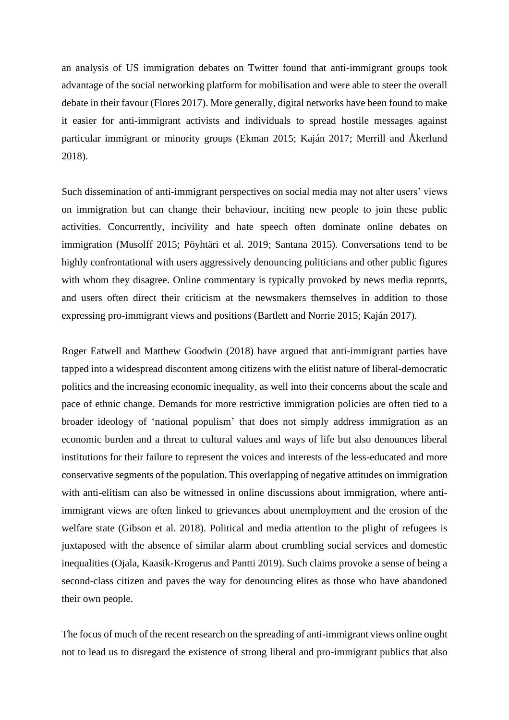an analysis of US immigration debates on Twitter found that anti-immigrant groups took advantage of the social networking platform for mobilisation and were able to steer the overall debate in their favour (Flores 2017). More generally, digital networks have been found to make it easier for anti-immigrant activists and individuals to spread hostile messages against particular immigrant or minority groups (Ekman 2015; Kaján 2017; Merrill and Åkerlund 2018).

Such dissemination of anti-immigrant perspectives on social media may not alter users' views on immigration but can change their behaviour, inciting new people to join these public activities. Concurrently, incivility and hate speech often dominate online debates on immigration (Musolff 2015; Pöyhtäri et al. 2019; Santana 2015). Conversations tend to be highly confrontational with users aggressively denouncing politicians and other public figures with whom they disagree. Online commentary is typically provoked by news media reports, and users often direct their criticism at the newsmakers themselves in addition to those expressing pro-immigrant views and positions (Bartlett and Norrie 2015; Kaján 2017).

Roger Eatwell and Matthew Goodwin (2018) have argued that anti-immigrant parties have tapped into a widespread discontent among citizens with the elitist nature of liberal-democratic politics and the increasing economic inequality, as well into their concerns about the scale and pace of ethnic change. Demands for more restrictive immigration policies are often tied to a broader ideology of 'national populism' that does not simply address immigration as an economic burden and a threat to cultural values and ways of life but also denounces liberal institutions for their failure to represent the voices and interests of the less-educated and more conservative segments of the population. This overlapping of negative attitudes on immigration with anti-elitism can also be witnessed in online discussions about immigration, where antiimmigrant views are often linked to grievances about unemployment and the erosion of the welfare state (Gibson et al. 2018). Political and media attention to the plight of refugees is juxtaposed with the absence of similar alarm about crumbling social services and domestic inequalities (Ojala, Kaasik-Krogerus and Pantti 2019). Such claims provoke a sense of being a second-class citizen and paves the way for denouncing elites as those who have abandoned their own people.

The focus of much of the recent research on the spreading of anti-immigrant views online ought not to lead us to disregard the existence of strong liberal and pro-immigrant publics that also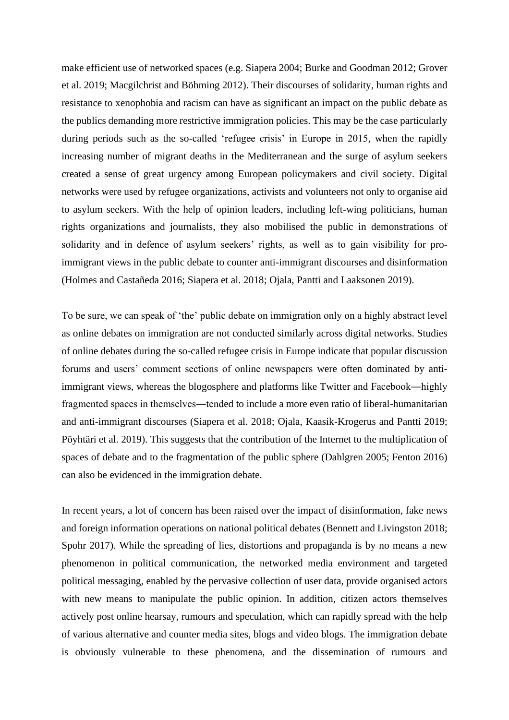make efficient use of networked spaces (e.g. Siapera 2004; Burke and Goodman 2012; Grover et al. 2019; Macgilchrist and Böhming 2012). Their discourses of solidarity, human rights and resistance to xenophobia and racism can have as significant an impact on the public debate as the publics demanding more restrictive immigration policies. This may be the case particularly during periods such as the so-called 'refugee crisis' in Europe in 2015, when the rapidly increasing number of migrant deaths in the Mediterranean and the surge of asylum seekers created a sense of great urgency among European policymakers and civil society. Digital networks were used by refugee organizations, activists and volunteers not only to organise aid to asylum seekers. With the help of opinion leaders, including left-wing politicians, human rights organizations and journalists, they also mobilised the public in demonstrations of solidarity and in defence of asylum seekers' rights, as well as to gain visibility for proimmigrant views in the public debate to counter anti-immigrant discourses and disinformation (Holmes and Castañeda 2016; Siapera et al. 2018; Ojala, Pantti and Laaksonen 2019).

To be sure, we can speak of 'the' public debate on immigration only on a highly abstract level as online debates on immigration are not conducted similarly across digital networks. Studies of online debates during the so-called refugee crisis in Europe indicate that popular discussion forums and users' comment sections of online newspapers were often dominated by antiimmigrant views, whereas the blogosphere and platforms like Twitter and Facebook―highly fragmented spaces in themselves―tended to include a more even ratio of liberal-humanitarian and anti-immigrant discourses (Siapera et al. 2018; Ojala, Kaasik-Krogerus and Pantti 2019; Pöyhtäri et al. 2019). This suggests that the contribution of the Internet to the multiplication of spaces of debate and to the fragmentation of the public sphere (Dahlgren 2005; Fenton 2016) can also be evidenced in the immigration debate.

In recent years, a lot of concern has been raised over the impact of disinformation, fake news and foreign information operations on national political debates (Bennett and Livingston 2018; Spohr 2017). While the spreading of lies, distortions and propaganda is by no means a new phenomenon in political communication, the networked media environment and targeted political messaging, enabled by the pervasive collection of user data, provide organised actors with new means to manipulate the public opinion. In addition, citizen actors themselves actively post online hearsay, rumours and speculation, which can rapidly spread with the help of various alternative and counter media sites, blogs and video blogs. The immigration debate is obviously vulnerable to these phenomena, and the dissemination of rumours and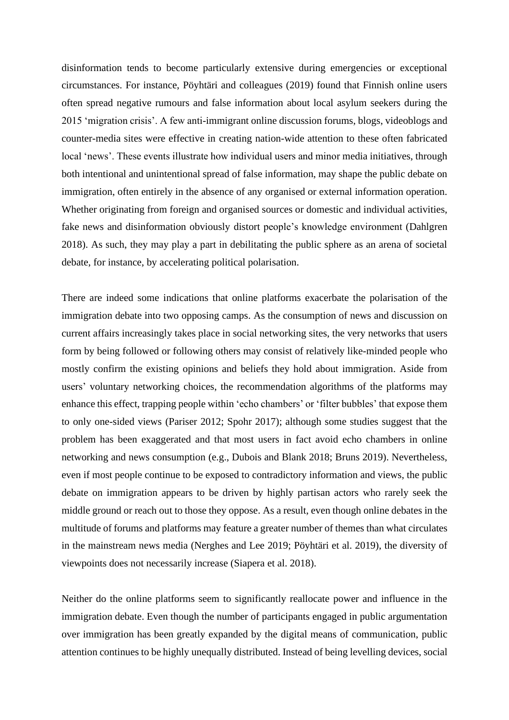disinformation tends to become particularly extensive during emergencies or exceptional circumstances. For instance, Pöyhtäri and colleagues (2019) found that Finnish online users often spread negative rumours and false information about local asylum seekers during the 2015 'migration crisis'. A few anti-immigrant online discussion forums, blogs, videoblogs and counter-media sites were effective in creating nation-wide attention to these often fabricated local 'news'. These events illustrate how individual users and minor media initiatives, through both intentional and unintentional spread of false information, may shape the public debate on immigration, often entirely in the absence of any organised or external information operation. Whether originating from foreign and organised sources or domestic and individual activities, fake news and disinformation obviously distort people's knowledge environment (Dahlgren 2018). As such, they may play a part in debilitating the public sphere as an arena of societal debate, for instance, by accelerating political polarisation.

There are indeed some indications that online platforms exacerbate the polarisation of the immigration debate into two opposing camps. As the consumption of news and discussion on current affairs increasingly takes place in social networking sites, the very networks that users form by being followed or following others may consist of relatively like-minded people who mostly confirm the existing opinions and beliefs they hold about immigration. Aside from users' voluntary networking choices, the recommendation algorithms of the platforms may enhance this effect, trapping people within 'echo chambers' or 'filter bubbles' that expose them to only one-sided views (Pariser 2012; Spohr 2017); although some studies suggest that the problem has been exaggerated and that most users in fact avoid echo chambers in online networking and news consumption (e.g., Dubois and Blank 2018; Bruns 2019). Nevertheless, even if most people continue to be exposed to contradictory information and views, the public debate on immigration appears to be driven by highly partisan actors who rarely seek the middle ground or reach out to those they oppose. As a result, even though online debates in the multitude of forums and platforms may feature a greater number of themes than what circulates in the mainstream news media (Nerghes and Lee 2019; Pöyhtäri et al. 2019), the diversity of viewpoints does not necessarily increase (Siapera et al. 2018).

Neither do the online platforms seem to significantly reallocate power and influence in the immigration debate. Even though the number of participants engaged in public argumentation over immigration has been greatly expanded by the digital means of communication, public attention continues to be highly unequally distributed. Instead of being levelling devices, social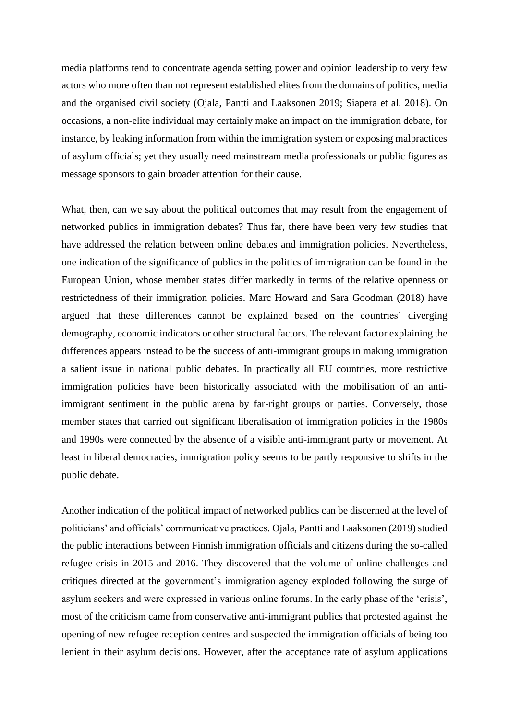media platforms tend to concentrate agenda setting power and opinion leadership to very few actors who more often than not represent established elites from the domains of politics, media and the organised civil society (Ojala, Pantti and Laaksonen 2019; Siapera et al. 2018). On occasions, a non-elite individual may certainly make an impact on the immigration debate, for instance, by leaking information from within the immigration system or exposing malpractices of asylum officials; yet they usually need mainstream media professionals or public figures as message sponsors to gain broader attention for their cause.

What, then, can we say about the political outcomes that may result from the engagement of networked publics in immigration debates? Thus far, there have been very few studies that have addressed the relation between online debates and immigration policies. Nevertheless, one indication of the significance of publics in the politics of immigration can be found in the European Union, whose member states differ markedly in terms of the relative openness or restrictedness of their immigration policies. Marc Howard and Sara Goodman (2018) have argued that these differences cannot be explained based on the countries' diverging demography, economic indicators or other structural factors. The relevant factor explaining the differences appears instead to be the success of anti-immigrant groups in making immigration a salient issue in national public debates. In practically all EU countries, more restrictive immigration policies have been historically associated with the mobilisation of an antiimmigrant sentiment in the public arena by far-right groups or parties. Conversely, those member states that carried out significant liberalisation of immigration policies in the 1980s and 1990s were connected by the absence of a visible anti-immigrant party or movement. At least in liberal democracies, immigration policy seems to be partly responsive to shifts in the public debate.

Another indication of the political impact of networked publics can be discerned at the level of politicians' and officials' communicative practices. Ojala, Pantti and Laaksonen (2019) studied the public interactions between Finnish immigration officials and citizens during the so-called refugee crisis in 2015 and 2016. They discovered that the volume of online challenges and critiques directed at the government's immigration agency exploded following the surge of asylum seekers and were expressed in various online forums. In the early phase of the 'crisis', most of the criticism came from conservative anti-immigrant publics that protested against the opening of new refugee reception centres and suspected the immigration officials of being too lenient in their asylum decisions. However, after the acceptance rate of asylum applications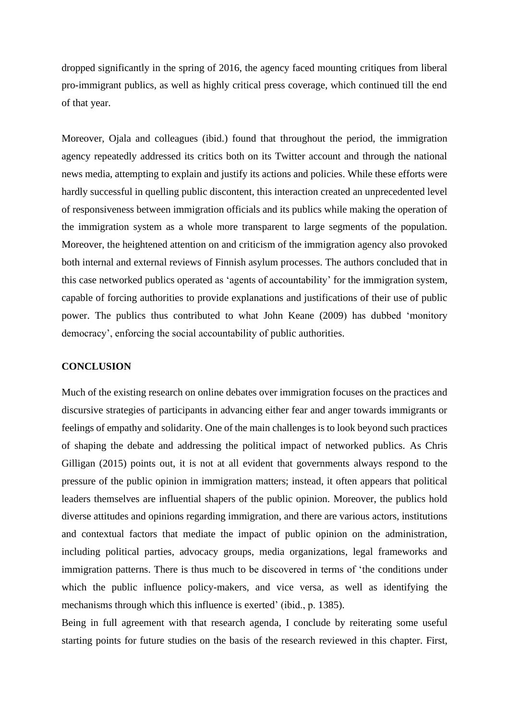dropped significantly in the spring of 2016, the agency faced mounting critiques from liberal pro-immigrant publics, as well as highly critical press coverage, which continued till the end of that year.

Moreover, Ojala and colleagues (ibid.) found that throughout the period, the immigration agency repeatedly addressed its critics both on its Twitter account and through the national news media, attempting to explain and justify its actions and policies. While these efforts were hardly successful in quelling public discontent, this interaction created an unprecedented level of responsiveness between immigration officials and its publics while making the operation of the immigration system as a whole more transparent to large segments of the population. Moreover, the heightened attention on and criticism of the immigration agency also provoked both internal and external reviews of Finnish asylum processes. The authors concluded that in this case networked publics operated as 'agents of accountability' for the immigration system, capable of forcing authorities to provide explanations and justifications of their use of public power. The publics thus contributed to what John Keane (2009) has dubbed 'monitory democracy', enforcing the social accountability of public authorities.

### **CONCLUSION**

Much of the existing research on online debates over immigration focuses on the practices and discursive strategies of participants in advancing either fear and anger towards immigrants or feelings of empathy and solidarity. One of the main challenges is to look beyond such practices of shaping the debate and addressing the political impact of networked publics. As Chris Gilligan (2015) points out, it is not at all evident that governments always respond to the pressure of the public opinion in immigration matters; instead, it often appears that political leaders themselves are influential shapers of the public opinion. Moreover, the publics hold diverse attitudes and opinions regarding immigration, and there are various actors, institutions and contextual factors that mediate the impact of public opinion on the administration, including political parties, advocacy groups, media organizations, legal frameworks and immigration patterns. There is thus much to be discovered in terms of 'the conditions under which the public influence policy-makers, and vice versa, as well as identifying the mechanisms through which this influence is exerted' (ibid., p. 1385).

Being in full agreement with that research agenda, I conclude by reiterating some useful starting points for future studies on the basis of the research reviewed in this chapter. First,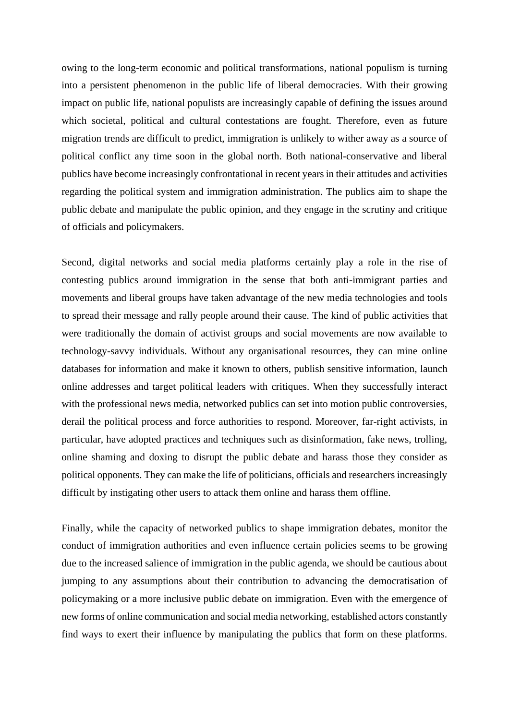owing to the long-term economic and political transformations, national populism is turning into a persistent phenomenon in the public life of liberal democracies. With their growing impact on public life, national populists are increasingly capable of defining the issues around which societal, political and cultural contestations are fought. Therefore, even as future migration trends are difficult to predict, immigration is unlikely to wither away as a source of political conflict any time soon in the global north. Both national-conservative and liberal publics have become increasingly confrontational in recent years in their attitudes and activities regarding the political system and immigration administration. The publics aim to shape the public debate and manipulate the public opinion, and they engage in the scrutiny and critique of officials and policymakers.

Second, digital networks and social media platforms certainly play a role in the rise of contesting publics around immigration in the sense that both anti-immigrant parties and movements and liberal groups have taken advantage of the new media technologies and tools to spread their message and rally people around their cause. The kind of public activities that were traditionally the domain of activist groups and social movements are now available to technology-savvy individuals. Without any organisational resources, they can mine online databases for information and make it known to others, publish sensitive information, launch online addresses and target political leaders with critiques. When they successfully interact with the professional news media, networked publics can set into motion public controversies, derail the political process and force authorities to respond. Moreover, far-right activists, in particular, have adopted practices and techniques such as disinformation, fake news, trolling, online shaming and doxing to disrupt the public debate and harass those they consider as political opponents. They can make the life of politicians, officials and researchers increasingly difficult by instigating other users to attack them online and harass them offline.

Finally, while the capacity of networked publics to shape immigration debates, monitor the conduct of immigration authorities and even influence certain policies seems to be growing due to the increased salience of immigration in the public agenda, we should be cautious about jumping to any assumptions about their contribution to advancing the democratisation of policymaking or a more inclusive public debate on immigration. Even with the emergence of new forms of online communication and social media networking, established actors constantly find ways to exert their influence by manipulating the publics that form on these platforms.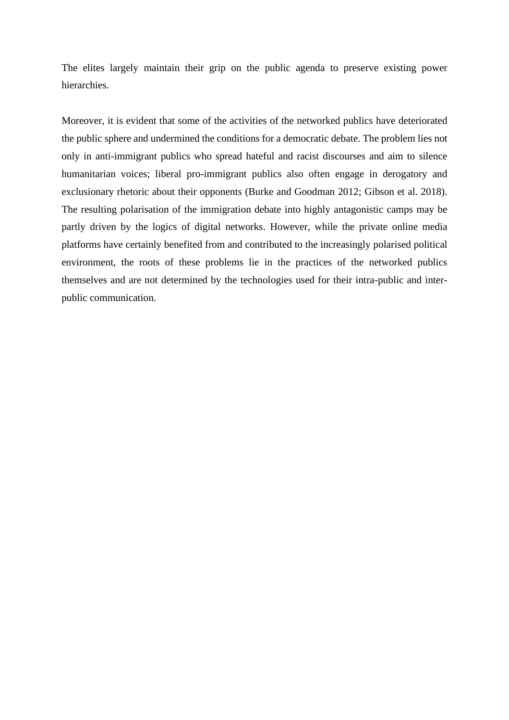The elites largely maintain their grip on the public agenda to preserve existing power hierarchies.

Moreover, it is evident that some of the activities of the networked publics have deteriorated the public sphere and undermined the conditions for a democratic debate. The problem lies not only in anti-immigrant publics who spread hateful and racist discourses and aim to silence humanitarian voices; liberal pro-immigrant publics also often engage in derogatory and exclusionary rhetoric about their opponents (Burke and Goodman 2012; Gibson et al. 2018). The resulting polarisation of the immigration debate into highly antagonistic camps may be partly driven by the logics of digital networks. However, while the private online media platforms have certainly benefited from and contributed to the increasingly polarised political environment, the roots of these problems lie in the practices of the networked publics themselves and are not determined by the technologies used for their intra-public and interpublic communication.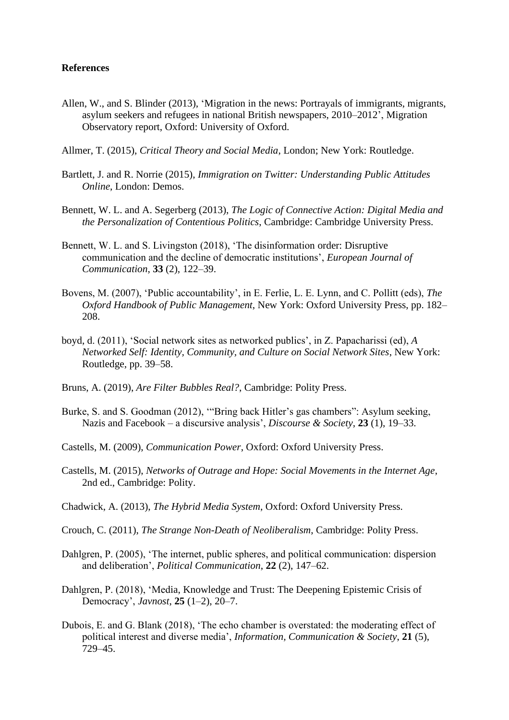# **References**

- Allen, W., and S. Blinder (2013), 'Migration in the news: Portrayals of immigrants, migrants, asylum seekers and refugees in national British newspapers, 2010–2012', Migration Observatory report, Oxford: University of Oxford.
- Allmer, T. (2015), *Critical Theory and Social Media*, London; New York: Routledge.
- Bartlett, J. and R. Norrie (2015), *Immigration on Twitter: Understanding Public Attitudes Online*, London: Demos.
- Bennett, W. L. and A. Segerberg (2013), *The Logic of Connective Action: Digital Media and the Personalization of Contentious Politics*, Cambridge: Cambridge University Press.
- Bennett, W. L. and S. Livingston (2018), 'The disinformation order: Disruptive communication and the decline of democratic institutions', *European Journal of Communication*, **33** (2), 122–39.
- Bovens, M. (2007), 'Public accountability', in E. Ferlie, L. E. Lynn, and C. Pollitt (eds), *The Oxford Handbook of Public Management*, New York: Oxford University Press, pp. 182– 208.
- boyd, d. (2011), 'Social network sites as networked publics', in Z. Papacharissi (ed), *A Networked Self: Identity, Community, and Culture on Social Network Sites*, New York: Routledge, pp. 39–58.
- Bruns, A. (2019), *Are Filter Bubbles Real?*, Cambridge: Polity Press.
- Burke, S. and S. Goodman (2012), '"Bring back Hitler's gas chambers": Asylum seeking, Nazis and Facebook – a discursive analysis', *Discourse & Society*, **23** (1), 19–33.
- Castells, M. (2009), *Communication Power*, Oxford: Oxford University Press.
- Castells, M. (2015), *Networks of Outrage and Hope: Social Movements in the Internet Age*, 2nd ed., Cambridge: Polity.
- Chadwick, A. (2013), *The Hybrid Media System*, Oxford: Oxford University Press.
- Crouch, C. (2011), *The Strange Non-Death of Neoliberalism*, Cambridge: Polity Press.
- Dahlgren, P. (2005), 'The internet, public spheres, and political communication: dispersion and deliberation', *Political Communication*, **22** (2), 147–62.
- Dahlgren, P. (2018), 'Media, Knowledge and Trust: The Deepening Epistemic Crisis of Democracy', *Javnost*, **25** (1–2), 20–7.
- Dubois, E. and G. Blank (2018), 'The echo chamber is overstated: the moderating effect of political interest and diverse media', *Information, Communication & Society*, **21** (5), 729–45.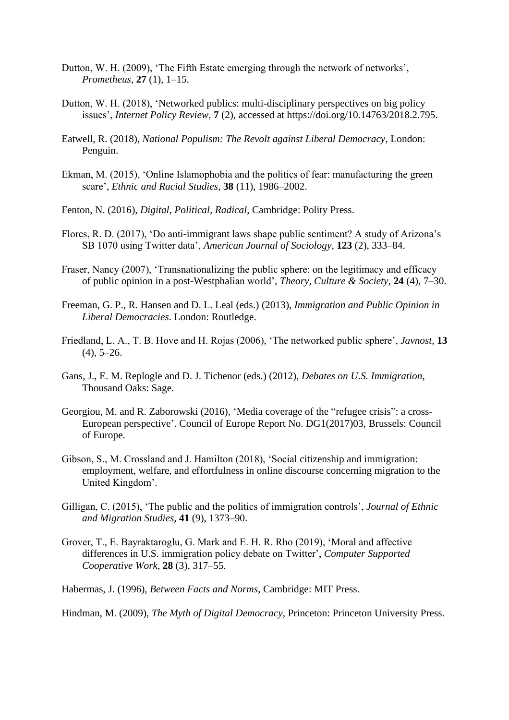- Dutton, W. H. (2009), 'The Fifth Estate emerging through the network of networks', *Prometheus*, **27** (1), 1–15.
- Dutton, W. H. (2018), 'Networked publics: multi-disciplinary perspectives on big policy issues', *Internet Policy Review*, **7** (2), accessed at https://doi.org/10.14763/2018.2.795.
- Eatwell, R. (2018), *National Populism: The Revolt against Liberal Democracy*, London: Penguin.
- Ekman, M. (2015), 'Online Islamophobia and the politics of fear: manufacturing the green scare', *Ethnic and Racial Studies*, **38** (11), 1986–2002.
- Fenton, N. (2016), *Digital, Political, Radical*, Cambridge: Polity Press.
- Flores, R. D. (2017), 'Do anti-immigrant laws shape public sentiment? A study of Arizona's SB 1070 using Twitter data', *American Journal of Sociology*, **123** (2), 333–84.
- Fraser, Nancy (2007), 'Transnationalizing the public sphere: on the legitimacy and efficacy of public opinion in a post-Westphalian world', *Theory, Culture & Society*, **24** (4), 7–30.
- Freeman, G. P., R. Hansen and D. L. Leal (eds.) (2013), *Immigration and Public Opinion in Liberal Democracies*. London: Routledge.
- Friedland, L. A., T. B. Hove and H. Rojas (2006), 'The networked public sphere', *Javnost*, **13**  $(4)$ , 5–26.
- Gans, J., E. M. Replogle and D. J. Tichenor (eds.) (2012), *Debates on U.S. Immigration*, Thousand Oaks: Sage.
- Georgiou, M. and R. Zaborowski (2016), 'Media coverage of the "refugee crisis": a cross-European perspective'. Council of Europe Report No. DG1(2017)03, Brussels: Council of Europe.
- Gibson, S., M. Crossland and J. Hamilton (2018), 'Social citizenship and immigration: employment, welfare, and effortfulness in online discourse concerning migration to the United Kingdom'.
- Gilligan, C. (2015), 'The public and the politics of immigration controls', *Journal of Ethnic and Migration Studies*, **41** (9), 1373–90.
- Grover, T., E. Bayraktaroglu, G. Mark and E. H. R. Rho (2019), 'Moral and affective differences in U.S. immigration policy debate on Twitter', *Computer Supported Cooperative Work*, **28** (3), 317–55.
- Habermas, J. (1996), *Between Facts and Norms*, Cambridge: MIT Press.

Hindman, M. (2009), *The Myth of Digital Democracy*, Princeton: Princeton University Press.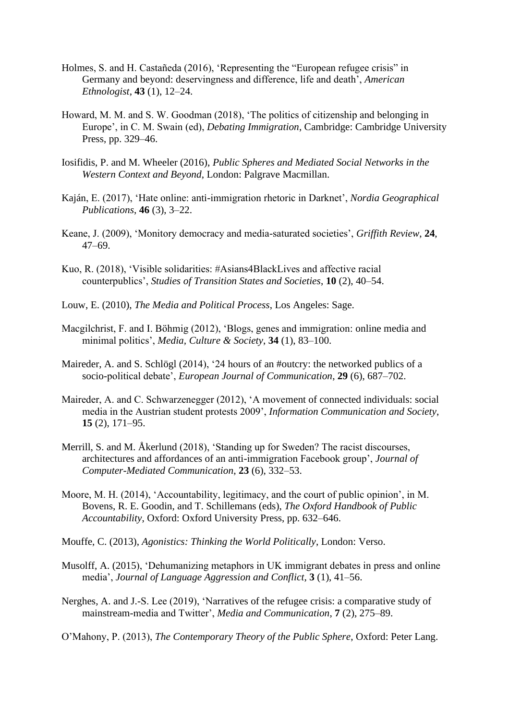- Holmes, S. and H. Castañeda (2016), 'Representing the "European refugee crisis" in Germany and beyond: deservingness and difference, life and death', *American Ethnologist*, **43** (1), 12–24.
- Howard, M. M. and S. W. Goodman (2018), 'The politics of citizenship and belonging in Europe', in C. M. Swain (ed), *Debating Immigration*, Cambridge: Cambridge University Press, pp. 329–46.
- Iosifidis, P. and M. Wheeler (2016), *Public Spheres and Mediated Social Networks in the Western Context and Beyond*, London: Palgrave Macmillan.
- Kaján, E. (2017), 'Hate online: anti-immigration rhetoric in Darknet', *Nordia Geographical Publications*, **46** (3), 3–22.
- Keane, J. (2009), 'Monitory democracy and media-saturated societies', *Griffith Review*, **24**, 47–69.
- Kuo, R. (2018), 'Visible solidarities: #Asians4BlackLives and affective racial counterpublics', *Studies of Transition States and Societies*, **10** (2), 40–54.
- Louw, E. (2010), *The Media and Political Process*, Los Angeles: Sage.
- Macgilchrist, F. and I. Böhmig (2012), 'Blogs, genes and immigration: online media and minimal politics', *Media, Culture & Society*, **34** (1), 83–100.
- Maireder, A. and S. Schlögl (2014), '24 hours of an #outcry: the networked publics of a socio-political debate', *European Journal of Communication*, **29** (6), 687–702.
- Maireder, A. and C. Schwarzenegger (2012), 'A movement of connected individuals: social media in the Austrian student protests 2009', *Information Communication and Society*, **15** (2), 171–95.
- Merrill, S. and M. Åkerlund (2018), 'Standing up for Sweden? The racist discourses, architectures and affordances of an anti-immigration Facebook group', *Journal of Computer-Mediated Communication*, **23** (6), 332–53.
- Moore, M. H. (2014), 'Accountability, legitimacy, and the court of public opinion', in M. Bovens, R. E. Goodin, and T. Schillemans (eds), *The Oxford Handbook of Public Accountability*, Oxford: Oxford University Press, pp. 632–646.
- Mouffe, C. (2013), *Agonistics: Thinking the World Politically*, London: Verso.
- Musolff, A. (2015), 'Dehumanizing metaphors in UK immigrant debates in press and online media', *Journal of Language Aggression and Conflict*, **3** (1), 41–56.
- Nerghes, A. and J.-S. Lee (2019), 'Narratives of the refugee crisis: a comparative study of mainstream-media and Twitter', *Media and Communication*, **7** (2), 275–89.

O'Mahony, P. (2013), *The Contemporary Theory of the Public Sphere*, Oxford: Peter Lang.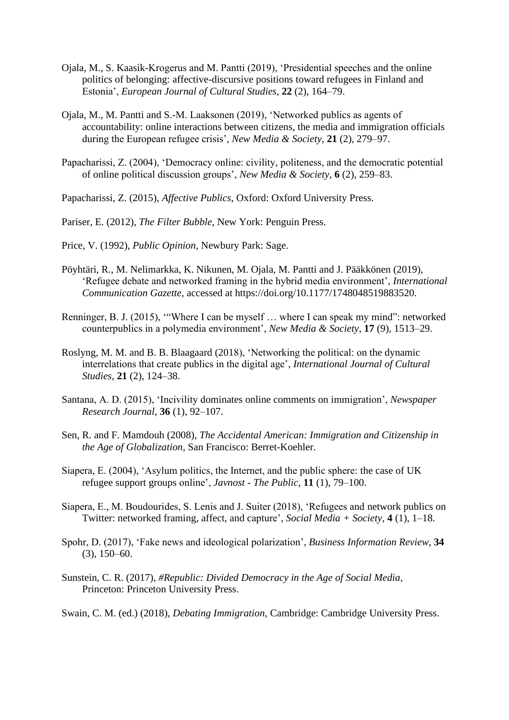- Ojala, M., S. Kaasik-Krogerus and M. Pantti (2019), 'Presidential speeches and the online politics of belonging: affective-discursive positions toward refugees in Finland and Estonia', *European Journal of Cultural Studies*, **22** (2), 164–79.
- Ojala, M., M. Pantti and S.-M. Laaksonen (2019), 'Networked publics as agents of accountability: online interactions between citizens, the media and immigration officials during the European refugee crisis', *New Media & Society*, **21** (2), 279–97.
- Papacharissi, Z. (2004), 'Democracy online: civility, politeness, and the democratic potential of online political discussion groups', *New Media & Society*, **6** (2), 259–83.
- Papacharissi, Z. (2015), *Affective Publics*, Oxford: Oxford University Press.
- Pariser, E. (2012), *The Filter Bubble*, New York: Penguin Press.
- Price, V. (1992), *Public Opinion*, Newbury Park: Sage.
- Pöyhtäri, R., M. Nelimarkka, K. Nikunen, M. Ojala, M. Pantti and J. Pääkkönen (2019), 'Refugee debate and networked framing in the hybrid media environment', *International Communication Gazette*, accessed at https://doi.org/10.1177/1748048519883520.
- Renninger, B. J. (2015), '"Where I can be myself … where I can speak my mind": networked counterpublics in a polymedia environment', *New Media & Society*, **17** (9), 1513–29.
- Roslyng, M. M. and B. B. Blaagaard (2018), 'Networking the political: on the dynamic interrelations that create publics in the digital age', *International Journal of Cultural Studies*, **21** (2), 124–38.
- Santana, A. D. (2015), 'Incivility dominates online comments on immigration', *Newspaper Research Journal*, **36** (1), 92–107.
- Sen, R. and F. Mamdouh (2008), *The Accidental American: Immigration and Citizenship in the Age of Globalization*, San Francisco: Berret-Koehler.
- Siapera, E. (2004), 'Asylum politics, the Internet, and the public sphere: the case of UK refugee support groups online', *Javnost - The Public*, **11** (1), 79–100.
- Siapera, E., M. Boudourides, S. Lenis and J. Suiter (2018), 'Refugees and network publics on Twitter: networked framing, affect, and capture', *Social Media + Society*, **4** (1), 1–18.
- Spohr, D. (2017), 'Fake news and ideological polarization', *Business Information Review*, **34** (3), 150–60.
- Sunstein, C. R. (2017), *#Republic: Divided Democracy in the Age of Social Media*, Princeton: Princeton University Press.
- Swain, C. M. (ed.) (2018), *Debating Immigration*, Cambridge: Cambridge University Press.